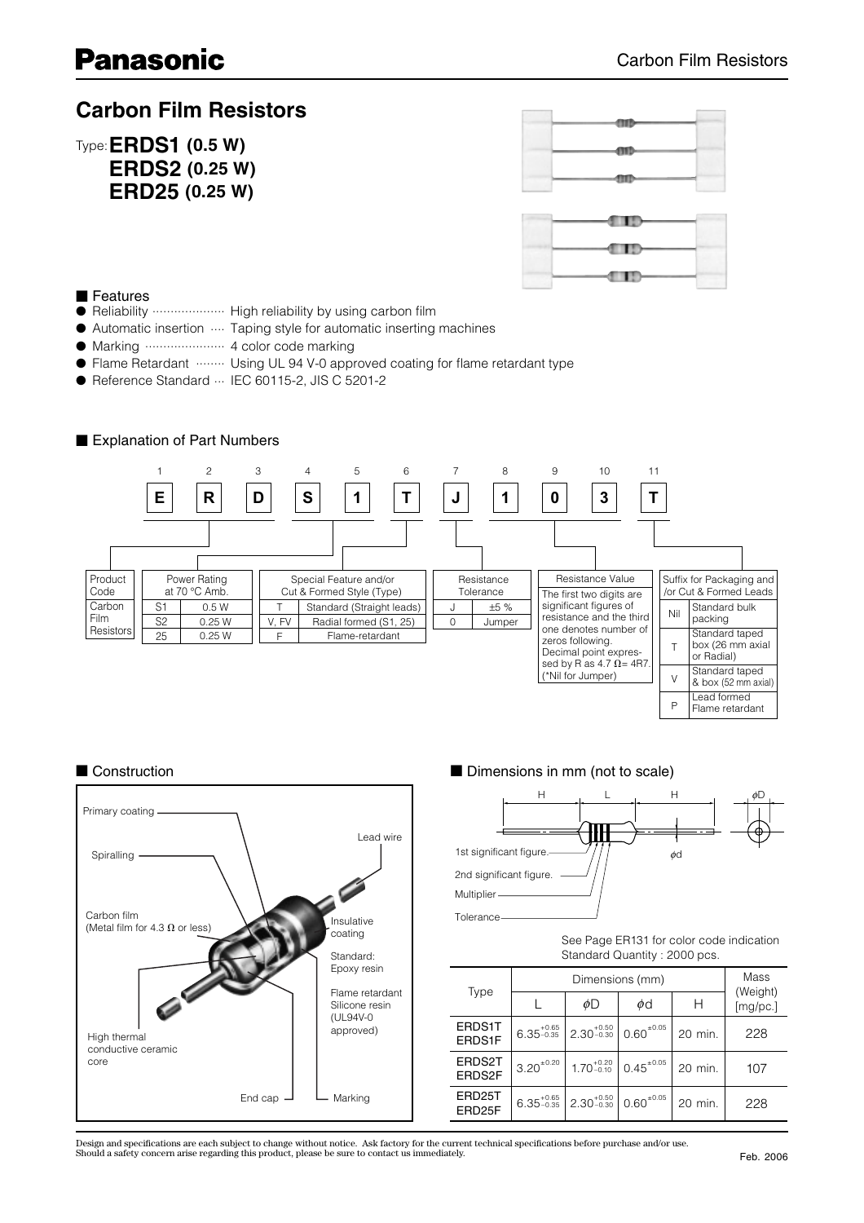### **Carbon Film Resistors**

Type:**ERDS1 (0.5 W) ERDS2 (0.25 W) ERD25 (0.25 W)**

| $-0$       |  |
|------------|--|
| $-$ 00 $-$ |  |
|            |  |



#### ■ Features

- Reliability ..................... High reliability by using carbon film
- Automatic insertion .... Taping style for automatic inserting machines
- Marking ...................... 4 color code marking
- Flame Retardant ........ Using UL 94 V-0 approved coating for flame retardant type
- Reference Standard … IEC 60115-2, JIS C 5201-2

#### ■ Explanation of Part Numbers





#### ■ Construction ■ Dimensions in mm (not to scale)



See Page ER131 for color code indication Standard Quantity : 2000 pcs.

P

Flame retardant

|                  |                |                                                  | Mass                                                         |         |                      |
|------------------|----------------|--------------------------------------------------|--------------------------------------------------------------|---------|----------------------|
| Type             |                | øD                                               | φd                                                           |         | (Weight)<br>[mg/pc.] |
| ERDS1T<br>ERDS1F |                | $6.35_{-0.35}^{+0.65}$   2.30 $_{-0.30}^{+0.50}$ | $0.60^{\pm 0.05}$                                            | 20 min. | 228                  |
| ERDS2T<br>ERDS2F | $3.20^{+0.20}$ |                                                  | $1.70^{+0.20}_{-0.10}$ 0.45 <sup><math>\pm 0.05</math></sup> | 20 min. | 107                  |
| ERD25T<br>ERD25F |                | $6.35_{-0.35}^{+0.65}$ 2.30 $_{-0.30}^{+0.50}$   | $0.60^{\pm 0.05}$                                            | 20 min. | 228                  |

Design and specifications are each subject to change without notice. Ask factory for the current technical specifications before purchase and/or use.<br>Should a safety concern arise regarding this product, please be sure to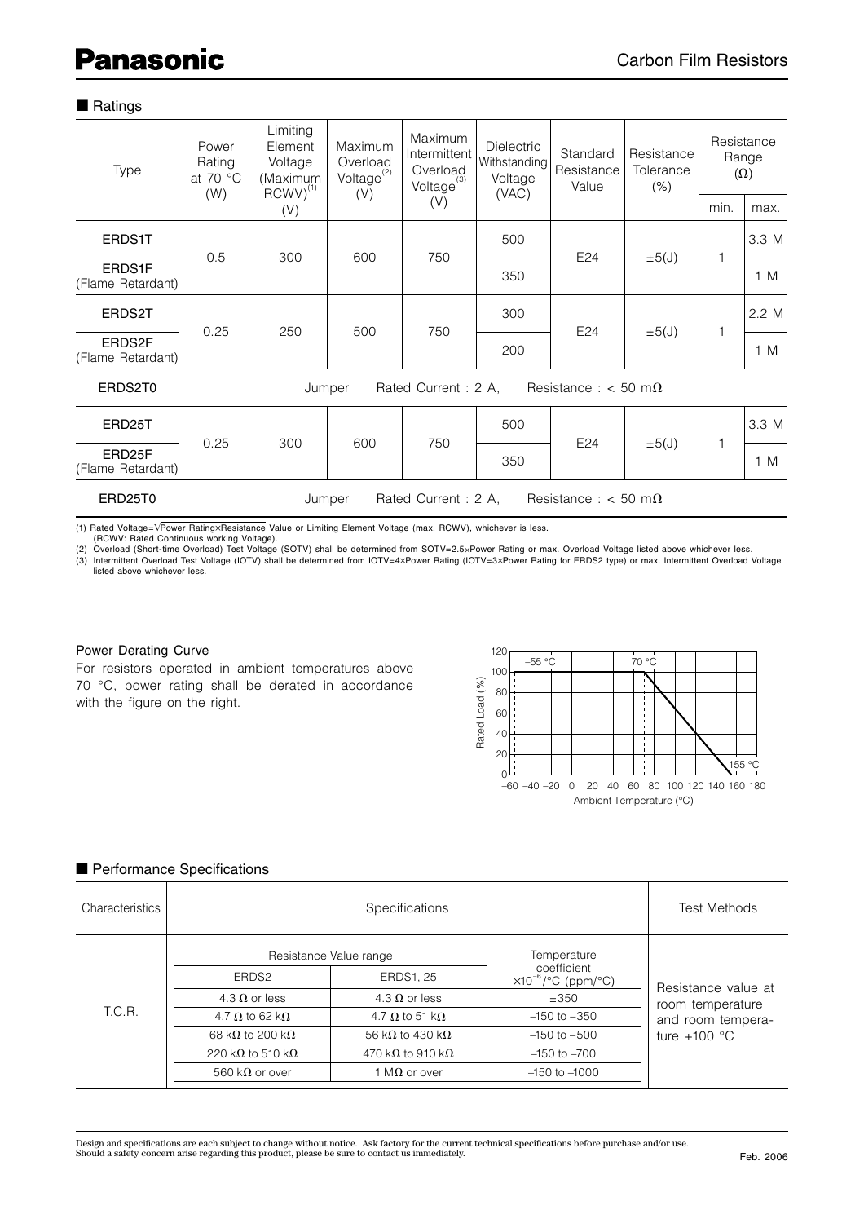#### ■ Ratings

| Type                        | Power<br>Rating<br>at 70 °C<br>(W)                              | Limiting<br>Element<br>Voltage<br>(Maximum<br>$RCWV)^{(1)}$ | Maximum<br>Overload<br>$Voltage^{(2)}$<br>(V) | Maximum<br>Intermittent<br>Overload<br>$Voltage^{(3)}$ | <b>Dielectric</b><br>Withstanding<br>Voltage<br>(VAC) | Standard<br>Resistance<br>Value | Resistance<br>Tolerance<br>(% ) |      | Resistance<br>Range<br>$(\Omega)$ |
|-----------------------------|-----------------------------------------------------------------|-------------------------------------------------------------|-----------------------------------------------|--------------------------------------------------------|-------------------------------------------------------|---------------------------------|---------------------------------|------|-----------------------------------|
|                             |                                                                 | (V)                                                         |                                               | (V)                                                    |                                                       |                                 |                                 | min. | max.                              |
| ERDS1T                      | 0.5                                                             | 300                                                         | 600                                           | 750                                                    | 500                                                   | E24                             | $\pm 5(J)$                      | 1    | 3.3 M                             |
| ERDS1F<br>(Flame Retardant) |                                                                 |                                                             |                                               |                                                        | 350                                                   |                                 |                                 |      | 1 M                               |
| ERDS2T                      | 0.25                                                            | 250                                                         | 500                                           | 750                                                    | 300                                                   | E24                             | $\pm 5(J)$                      | 1    | 2.2 M                             |
| ERDS2F<br>(Flame Retardant) |                                                                 |                                                             |                                               |                                                        | 200                                                   |                                 |                                 |      | 1 M                               |
| ERDS2T0                     |                                                                 | Jumper                                                      |                                               | Rated Current: 2 A,                                    |                                                       | Resistance : < 50 m $\Omega$    |                                 |      |                                   |
| ERD25T                      | 0.25                                                            | 300                                                         | 600                                           | 750                                                    | 500                                                   |                                 |                                 | 1    | 3.3 M                             |
| ERD25F<br>(Flame Retardant) |                                                                 |                                                             |                                               |                                                        | 350                                                   | E24                             | $\pm 5(J)$                      |      | 1 M                               |
| ERD25T0                     | Rated Current: 2 A,<br>Resistance : $<$ 50 m $\Omega$<br>Jumper |                                                             |                                               |                                                        |                                                       |                                 |                                 |      |                                   |

(1) Rated Voltage=VPower Rating×Resistance Value or Limiting Element Voltage (max. RCWV), whichever is less.<br>(RCWV: Rated Continuous working Voltage).

(2) Overload (Short-time Overload) Test Voltage (SOTV) shall be determined from SOTV=2.5xPower Rating or max. Overload Voltage listed above whichever less.

(3) Intermittent Overload Test Voltage (IOTV) shall be determined from IOTV=4xPower Rating (IOTV=3xPower Rating for ERDS2 type) or max. Intermittent Overload Voltage listed above whichever less.

#### Power Derating Curve

For resistors operated in ambient temperatures above 70 °C, power rating shall be derated in accordance with the figure on the right.



#### ■ Performance Specifications

| Characteristics |                                  | <b>Test Methods</b>              |                                                |                     |
|-----------------|----------------------------------|----------------------------------|------------------------------------------------|---------------------|
|                 |                                  | Resistance Value range           | Temperature<br>coefficient                     |                     |
|                 | ERDS <sub>2</sub>                | <b>ERDS1, 25</b>                 | $\times 10^{-6}/^{\circ}C$ (ppm/ $^{\circ}C$ ) | Resistance value at |
|                 | 4.3 $\Omega$ or less             | 4.3 $\Omega$ or less             | ±350                                           | room temperature    |
| T.C.R.          | 4.7 $\Omega$ to 62 k $\Omega$    | 4.7 $\Omega$ to 51 k $\Omega$    | $-150$ to $-350$                               | and room tempera-   |
|                 | 68 k $\Omega$ to 200 k $\Omega$  | 56 k $\Omega$ to 430 k $\Omega$  | $-150$ to $-500$                               | ture $+100$ °C      |
|                 | 220 k $\Omega$ to 510 k $\Omega$ | 470 k $\Omega$ to 910 k $\Omega$ | $-150$ to $-700$                               |                     |
|                 | 560 k $\Omega$ or over           | 1 M $\Omega$ or over             | $-150$ to $-1000$                              |                     |
|                 |                                  |                                  |                                                |                     |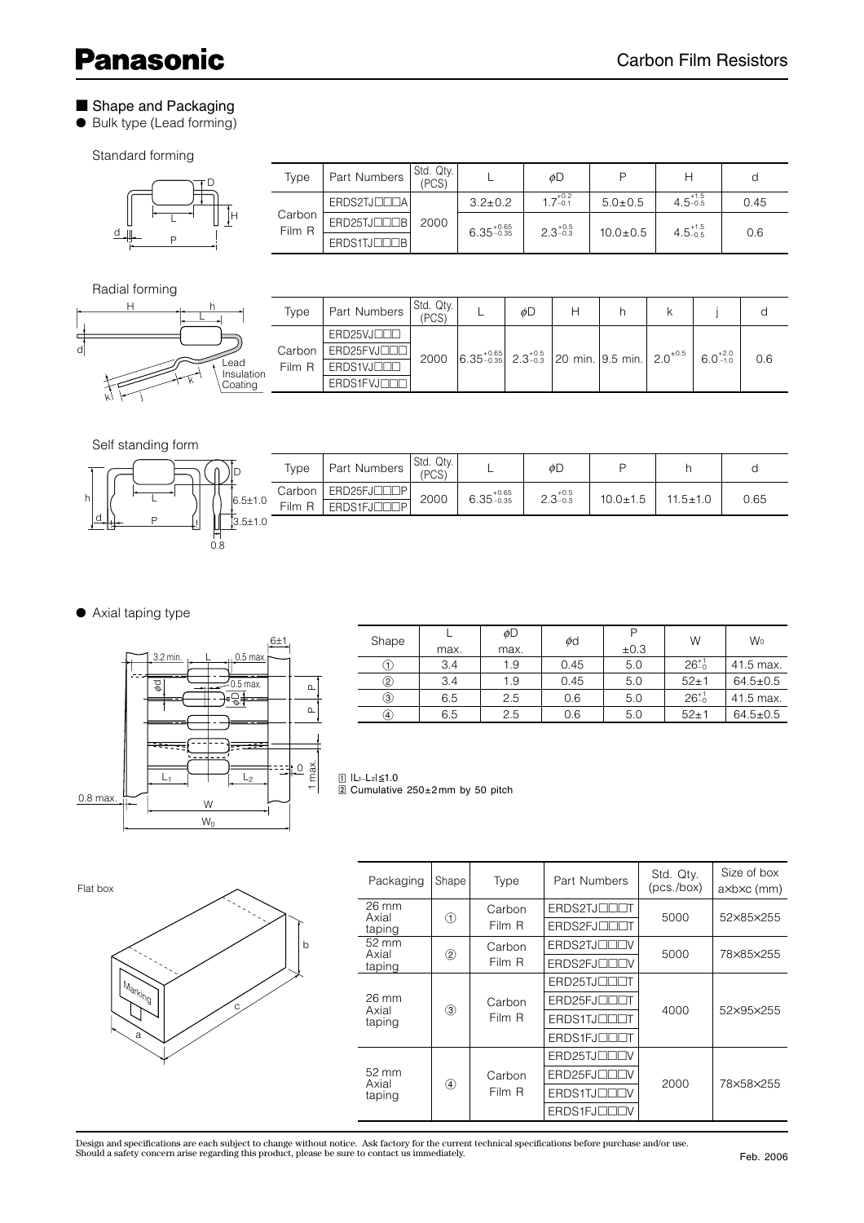## **Panasonic**

#### ■ Shape and Packaging

● Bulk type (Lead forming)

#### Standard forming

|   | Type             | Part Numbers | Std. Qty.<br>(PCS) |                        | øD                  |                |                     | a    |
|---|------------------|--------------|--------------------|------------------------|---------------------|----------------|---------------------|------|
|   | Carbon<br>Film R | ERDS2TJOODA  | 2000               | $3.2 \pm 0.2$          | $1.7^{+0.2}_{-0.1}$ | $5.0 \pm 0.5$  | $4.5^{+1.5}_{-0.5}$ | 0.45 |
| Н |                  | ERD25TJOODB  |                    | $6.35_{-0.35}^{+0.65}$ | $2.3_{-0.3}^{+0.5}$ | $10.0 \pm 0.5$ | $4.5_{-0.5}^{+1.5}$ | 0.6  |
|   |                  | ERDS1TJOODBI |                    |                        |                     |                |                     |      |

### Radial forming

d



L  $\overline{D}$  D

|              | Type     | Part Numbers         | Std. Qty.<br>(PCS) |                                                                                                     | øD |  |  |     |
|--------------|----------|----------------------|--------------------|-----------------------------------------------------------------------------------------------------|----|--|--|-----|
|              |          | ERD25VJOOD           |                    |                                                                                                     |    |  |  |     |
|              | Carbon I | ERD25FVJOOD          | 2000               | $6.35_{-0.35}^{+0.65}$ 2.3 <sup>+0.5</sup> 20 min. 9.5 min. 2.0 <sup>+0.5</sup> 6.0 <sup>+2.0</sup> |    |  |  | 0.6 |
| d<br>ulation | Film R   | ERDS1VJ <sub>U</sub> |                    |                                                                                                     |    |  |  |     |
| ıtina        |          | ERDS1FVJUUT          |                    |                                                                                                     |    |  |  |     |

#### Self standing form

|                     | Type             | Part Numbers               | Std. Qty.<br>(PCS) |                        | φD                  |                |                |      |
|---------------------|------------------|----------------------------|--------------------|------------------------|---------------------|----------------|----------------|------|
| $6.5 \pm 1.0$       | Carbon<br>Film R | ERD25FJOODP<br>ERDS1FJOODP | 2000               | $6.35_{-0.35}^{+0.65}$ | $2.3^{+0.5}_{-0.3}$ | $10.0 \pm 1.5$ | $11.5 \pm 1.0$ | 0.65 |
| D<br>3.5±1.0<br>0.8 |                  |                            |                    |                        |                     |                |                |      |

#### ● Axial taping type



| Shape         | max. | øD<br>max. | $\phi$ d | ±0.3 | W              | W <sub>o</sub> |
|---------------|------|------------|----------|------|----------------|----------------|
| (1)           | 3.4  | 1.9        | 0.45     | 5.0  | $26^{+1}_{-0}$ | 41.5 max.      |
| ②             | 3.4  | 1.9        | 0.45     | 5.0  | $52 + 1$       | $64.5 \pm 0.5$ |
| ③             | 6.5  | 2.5        | 0.6      | 5.0  | $26^{+1}_{-0}$ | 41.5 max.      |
| $\circledast$ | 6.5  | 2.5        | 0.6      | 5.0  | $52 + 1$       | $64.5 \pm 0.5$ |

 $\Box$  IL1-L2| $\leq 1.0$ - Cumulative 250±2 mm by 50 pitch



| Packaging                          | Shape         | Type        | Part Numbers             | Std. Qtv.<br>(pcs./box) | Size of box<br>axbxc (mm) |             |  |  |        |             |             |  |  |
|------------------------------------|---------------|-------------|--------------------------|-------------------------|---------------------------|-------------|--|--|--------|-------------|-------------|--|--|
| 26 mm<br>Axial                     |               | Carbon      | ERDS2TJOODT              | 5000                    | 52×85×255                 |             |  |  |        |             |             |  |  |
| taping                             |               | ⋒<br>Film R | ERDS2FJOODT              |                         |                           |             |  |  |        |             |             |  |  |
| 52 mm<br>Axial                     |               | Carbon      | ERDS2TJ <sub>UU</sub> UU | 5000                    | 78×85×255                 |             |  |  |        |             |             |  |  |
| taping                             |               | ②           |                          |                         | Film R                    | ERDS2FJOODV |  |  |        |             |             |  |  |
|                                    |               |             |                          |                         |                           |             |  |  |        |             | ERD25TJOOOT |  |  |
| 26 mm<br>Axial                     |               |             |                          |                         |                           |             |  |  | Carbon | ERD25FJOODT | 4000        |  |  |
| taping                             | $\circled{3}$ | Film R      | ERDS1TJOOOT              |                         | 52×95×255                 |             |  |  |        |             |             |  |  |
|                                    |               |             | ERDS1FJOODT              |                         |                           |             |  |  |        |             |             |  |  |
|                                    |               |             | ERD25TJOODV              |                         |                           |             |  |  |        |             |             |  |  |
| $52 \text{ mm}$<br>Axial<br>taping |               | Carbon      | ERD25FJOODV              | 2000                    | 78×58×255                 |             |  |  |        |             |             |  |  |
|                                    | $\circledast$ | Film R      | ERDS1TJOODV              |                         |                           |             |  |  |        |             |             |  |  |
|                                    |               |             | ERDS1FJOODV              |                         |                           |             |  |  |        |             |             |  |  |

Design and specifications are each subject to change without notice. Ask factory for the current technical specifications before purchase and/or use.<br>Should a safety concern arise regarding this product, please be sure to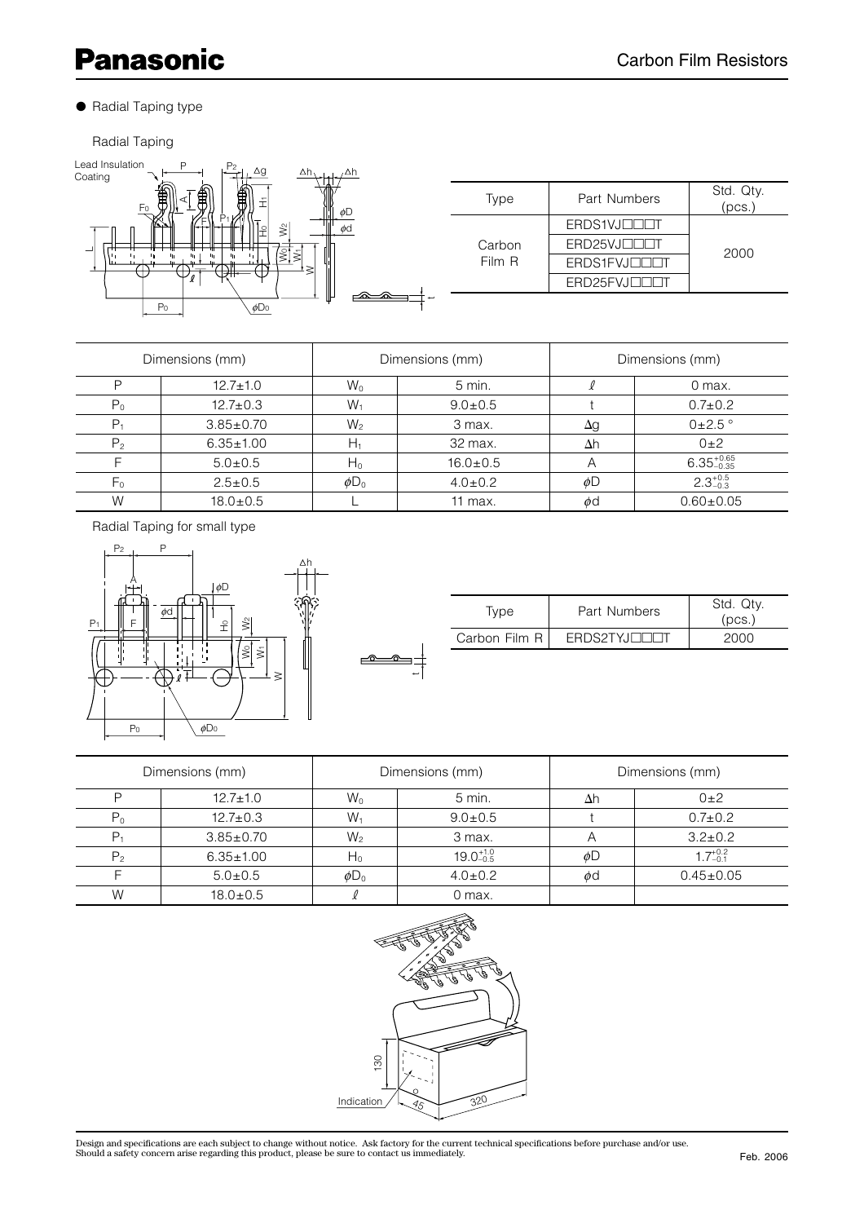# **Panasonic**

#### ● Radial Taping type

Radial Taping



| Dimensions (mm) |                 |                       | Dimensions (mm) | Dimensions (mm) |                        |  |
|-----------------|-----------------|-----------------------|-----------------|-----------------|------------------------|--|
| P               | $12.7 \pm 1.0$  | $W_0$                 | $5$ min.        |                 | 0 max.                 |  |
| $P_0$           | $12.7 \pm 0.3$  | $W_1$                 | $9.0 \pm 0.5$   |                 | $0.7 \pm 0.2$          |  |
| P <sub>1</sub>  | $3.85 \pm 0.70$ | $W_2$                 | 3 max.          | Δg              | $0\pm2.5$ °            |  |
| P <sub>2</sub>  | $6.35 \pm 1.00$ | H1                    | 32 max.         | $\Delta h$      | $0\pm 2$               |  |
|                 | $5.0 \pm 0.5$   | $H_0$                 | $16.0 \pm 0.5$  | Α               | $6.35_{-0.35}^{+0.65}$ |  |
| F <sub>0</sub>  | $2.5 \pm 0.5$   | $\phi$ D <sub>0</sub> | $4.0 \pm 0.2$   | øD              | $2.3^{+0.5}_{-0.3}$    |  |
| W               | $18.0 \pm 0.5$  |                       | 11 max.         | φd              | $0.60 + 0.05$          |  |

Radial Taping for small type



| Type          | Part Numbers | Std. Qtv.<br>(pcs) |
|---------------|--------------|--------------------|
| Carbon Film R | ERDS2TYJOG   | 2000               |

| Dimensions (mm) |                 |                       | Dimensions (mm)      | Dimensions (mm) |                     |  |
|-----------------|-----------------|-----------------------|----------------------|-----------------|---------------------|--|
| D               | $12.7 \pm 1.0$  | $W_0$                 | $5$ min.             | $\Delta h$      | $0\pm 2$            |  |
| P0              | $12.7 \pm 0.3$  | $W_1$                 | $9.0 \pm 0.5$        |                 | $0.7 \pm 0.2$       |  |
|                 | $3.85 \pm 0.70$ | $W_2$                 | 3 max.               | Α               | $3.2 \pm 0.2$       |  |
| $P_{2}$         | $6.35 \pm 1.00$ | $H_0$                 | $19.0^{+1.0}_{-0.5}$ | φD              | $1.7^{+0.2}_{-0.1}$ |  |
|                 | $5.0 \pm 0.5$   | $\phi$ D <sub>0</sub> | $4.0 \pm 0.2$        | φd              | $0.45 \pm 0.05$     |  |
| W               | $18.0 \pm 0.5$  |                       | 0 max.               |                 |                     |  |

 $\triangle$ ൟ



Design and specifications are each subject to change without notice. Ask factory for the current technical specifications before purchase and/or use.<br>Should a safety concern arise regarding this product, please be sure to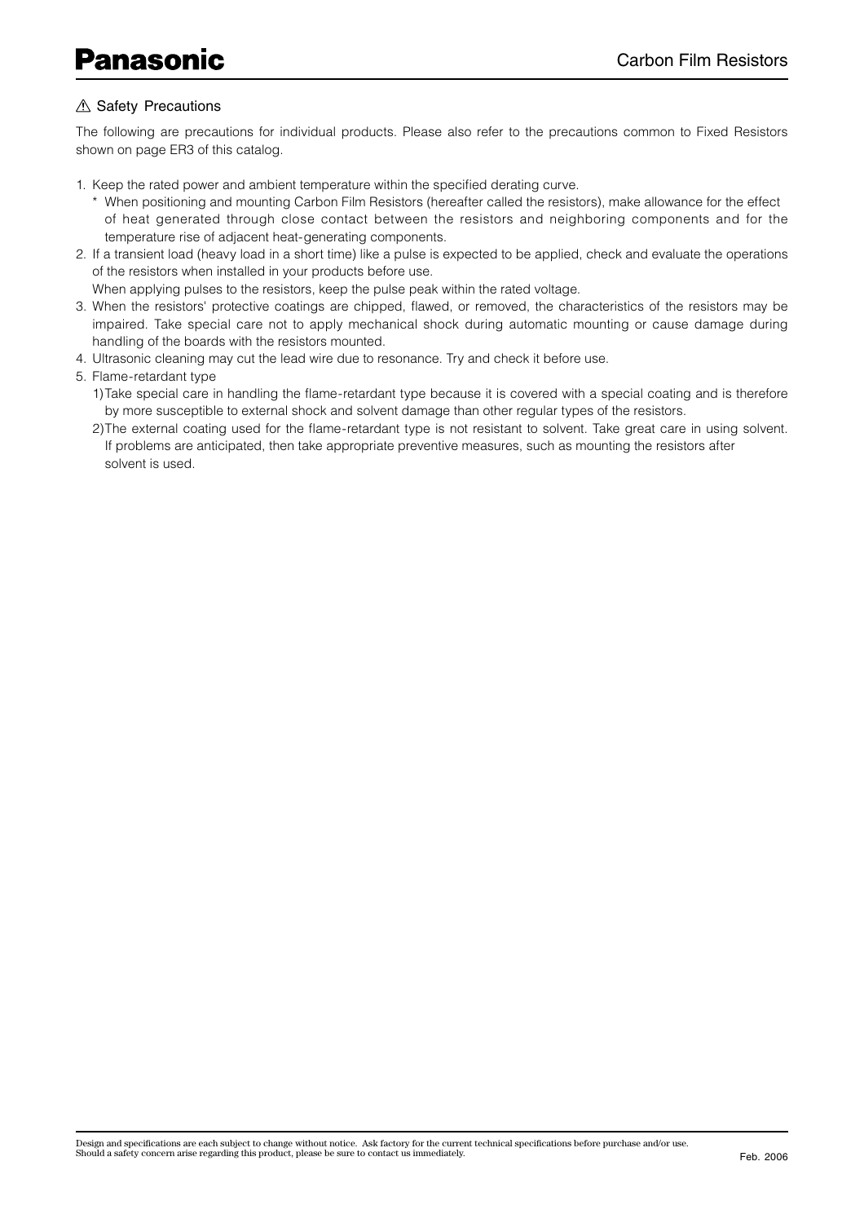#### A Safety Precautions

The following are precautions for individual products. Please also refer to the precautions common to Fixed Resistors shown on page ER3 of this catalog.

- 1. Keep the rated power and ambient temperature within the specified derating curve.
	- \* When positioning and mounting Carbon Film Resistors (hereafter called the resistors), make allowance for the effect of heat generated through close contact between the resistors and neighboring components and for the temperature rise of adjacent heat-generating components.
- 2. If a transient load (heavy load in a short time) like a pulse is expected to be applied, check and evaluate the operations of the resistors when installed in your products before use.

When applying pulses to the resistors, keep the pulse peak within the rated voltage.

- 3. When the resistors' protective coatings are chipped, flawed, or removed, the characteristics of the resistors may be impaired. Take special care not to apply mechanical shock during automatic mounting or cause damage during handling of the boards with the resistors mounted.
- 4. Ultrasonic cleaning may cut the lead wire due to resonance. Try and check it before use.
- 5. Flame-retardant type

1) Take special care in handling the flame-retardant type because it is covered with a special coating and is therefore by more susceptible to external shock and solvent damage than other regular types of the resistors.

2) The external coating used for the flame-retardant type is not resistant to solvent. Take great care in using solvent. If problems are anticipated, then take appropriate preventive measures, such as mounting the resistors after solvent is used.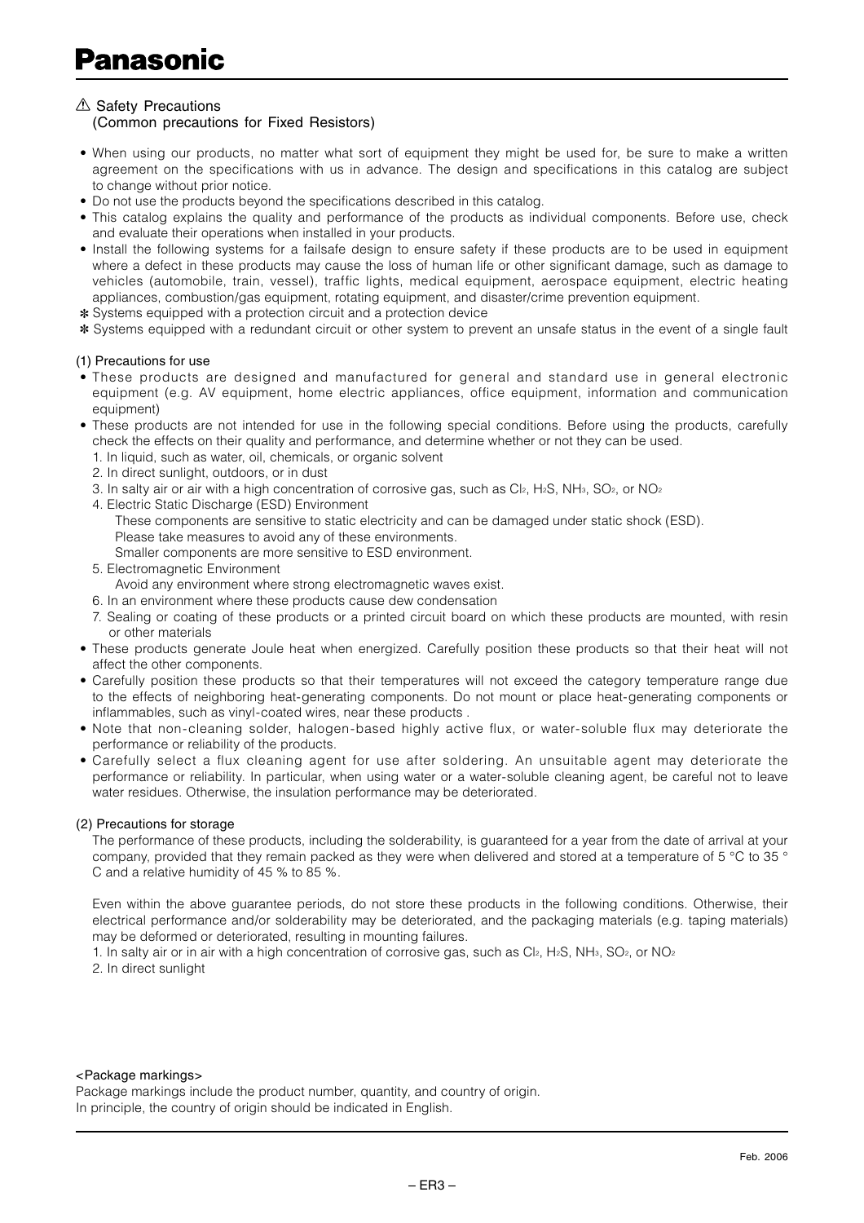#### $\triangle$  Safety Precautions

(Common precautions for Fixed Resistors)

- When using our products, no matter what sort of equipment they might be used for, be sure to make a written agreement on the specifications with us in advance. The design and specifications in this catalog are subject to change without prior notice.
- Do not use the products beyond the specifications described in this catalog.
- This catalog explains the quality and performance of the products as individual components. Before use, check and evaluate their operations when installed in your products.
- Install the following systems for a failsafe design to ensure safety if these products are to be used in equipment where a defect in these products may cause the loss of human life or other significant damage, such as damage to vehicles (automobile, train, vessel), traffic lights, medical equipment, aerospace equipment, electric heating appliances, combustion/gas equipment, rotating equipment, and disaster/crime prevention equipment.
- ✽ Systems equipped with a protection circuit and a protection device

✽ Systems equipped with a redundant circuit or other system to prevent an unsafe status in the event of a single fault

#### (1) Precautions for use

- These products are designed and manufactured for general and standard use in general electronic equipment (e.g. AV equipment, home electric appliances, office equipment, information and communication equipment)
- These products are not intended for use in the following special conditions. Before using the products, carefully check the effects on their quality and performance, and determine whether or not they can be used.
	- 1. In liquid, such as water, oil, chemicals, or organic solvent
	- 2. In direct sunlight, outdoors, or in dust
	- 3. In salty air or air with a high concentration of corrosive gas, such as  $C_1$ <sup>2</sup>, H<sub>2</sub>S, NH<sub>3</sub>, SO<sub>2</sub>, or NO<sub>2</sub>
	- 4. Electric Static Discharge (ESD) Environment
		- These components are sensitive to static electricity and can be damaged under static shock (ESD). Please take measures to avoid any of these environments.
		- Smaller components are more sensitive to ESD environment.
	- 5. Electromagnetic Environment
	- Avoid any environment where strong electromagnetic waves exist.
	- 6. In an environment where these products cause dew condensation
	- 7. Sealing or coating of these products or a printed circuit board on which these products are mounted, with resin or other materials
- These products generate Joule heat when energized. Carefully position these products so that their heat will not affect the other components.
- Carefully position these products so that their temperatures will not exceed the category temperature range due to the effects of neighboring heat-generating components. Do not mount or place heat-generating components or inflammables, such as vinyl-coated wires, near these products.
- Note that non-cleaning solder, halogen-based highly active flux, or water-soluble flux may deteriorate the performance or reliability of the products.
- Carefully select a flux cleaning agent for use after soldering. An unsuitable agent may deteriorate the performance or reliability. In particular, when using water or a water-soluble cleaning agent, be careful not to leave water residues. Otherwise, the insulation performance may be deteriorated.

#### (2) Precautions for storage

The performance of these products, including the solderability, is guaranteed for a year from the date of arrival at your company, provided that they remain packed as they were when delivered and stored at a temperature of 5 °C to 35 ° C and a relative humidity of 45 % to 85 %.

Even within the above guarantee periods, do not store these products in the following conditions. Otherwise, their electrical performance and/or solderability may be deteriorated, and the packaging materials (e.g. taping materials) may be deformed or deteriorated, resulting in mounting failures.

1. In salty air or in air with a high concentration of corrosive gas, such as Cl2, H2S, NH3, SO2, or NO2

2. In direct sunlight

#### <Package markings>

Package markings include the product number, quantity, and country of origin. In principle, the country of origin should be indicated in English.